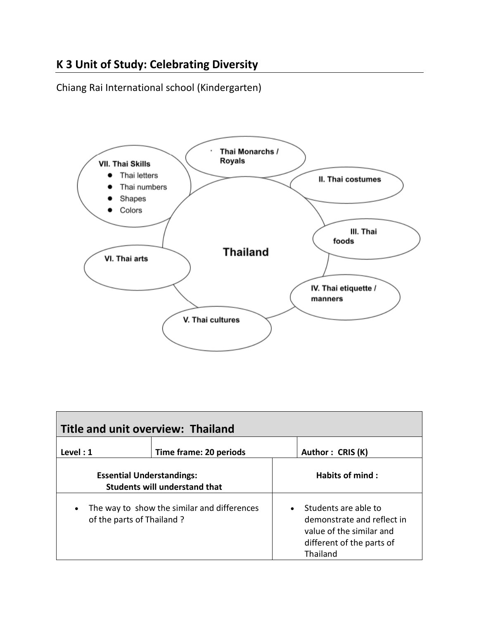# **K 3 Unit of Study: Celebrating Diversity**

Chiang Rai International school (Kindergarten)



| Title and unit overview: Thailand                                                     |                        |                        |                                                                                                                         |  |  |
|---------------------------------------------------------------------------------------|------------------------|------------------------|-------------------------------------------------------------------------------------------------------------------------|--|--|
| Level : 1                                                                             | Time frame: 20 periods |                        | Author: CRIS (K)                                                                                                        |  |  |
| <b>Essential Understandings:</b><br><b>Students will understand that</b>              |                        | <b>Habits of mind:</b> |                                                                                                                         |  |  |
| The way to show the similar and differences<br>$\bullet$<br>of the parts of Thailand? |                        |                        | Students are able to<br>demonstrate and reflect in<br>value of the similar and<br>different of the parts of<br>Thailand |  |  |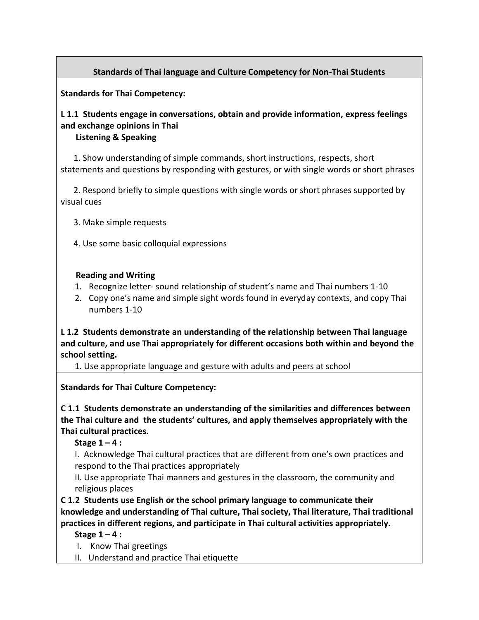## **Standards of Thai language and Culture Competency for Non-Thai Students**

**Standards for Thai Competency:**

## **L 1.1 Students engage in conversations, obtain and provide information, express feelings and exchange opinions in Thai**

### **Listening & Speaking**

 1. Show understanding of simple commands, short instructions, respects, short statements and questions by responding with gestures, or with single words or short phrases

 2. Respond briefly to simple questions with single words or short phrases supported by visual cues

- 3. Make simple requests
- 4. Use some basic colloquial expressions

### **Reading and Writing**

- 1. Recognize letter- sound relationship of student's name and Thai numbers 1-10
- 2. Copy one's name and simple sight words found in everyday contexts, and copy Thai numbers 1-10

**L 1.2 Students demonstrate an understanding of the relationship between Thai language and culture, and use Thai appropriately for different occasions both within and beyond the school setting.**

1. Use appropriate language and gesture with adults and peers at school

**Standards for Thai Culture Competency:**

**C 1.1 Students demonstrate an understanding of the similarities and differences between the Thai culture and the students' cultures, and apply themselves appropriately with the Thai cultural practices.**

**Stage 1 – 4 :**

I. Acknowledge Thai cultural practices that are different from one's own practices and respond to the Thai practices appropriately

II. Use appropriate Thai manners and gestures in the classroom, the community and religious places

**C 1.2 Students use English or the school primary language to communicate their knowledge and understanding of Thai culture, Thai society, Thai literature, Thai traditional practices in different regions, and participate in Thai cultural activities appropriately.**

**Stage 1 – 4 :**

I. Know Thai greetings

II. Understand and practice Thai etiquette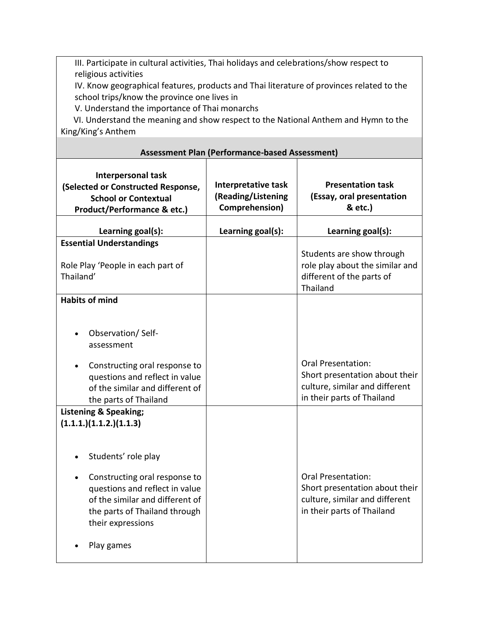III. Participate in cultural activities, Thai holidays and celebrations/show respect to religious activities

IV. Know geographical features, products and Thai literature of provinces related to the school trips/know the province one lives in

V. Understand the importance of Thai monarchs

 VI. Understand the meaning and show respect to the National Anthem and Hymn to the King/King's Anthem

| <b>Assessment Plan (Performance-based Assessment)</b>                                                                                                                                         |                                                             |                                                                                                                             |  |  |
|-----------------------------------------------------------------------------------------------------------------------------------------------------------------------------------------------|-------------------------------------------------------------|-----------------------------------------------------------------------------------------------------------------------------|--|--|
| <b>Interpersonal task</b><br>(Selected or Constructed Response,<br><b>School or Contextual</b><br>Product/Performance & etc.)                                                                 | Interpretative task<br>(Reading/Listening<br>Comprehension) | <b>Presentation task</b><br>(Essay, oral presentation<br>& etc.)                                                            |  |  |
| Learning goal(s):                                                                                                                                                                             | Learning goal(s):                                           | Learning goal(s):                                                                                                           |  |  |
| <b>Essential Understandings</b><br>Role Play 'People in each part of<br>Thailand'                                                                                                             |                                                             | Students are show through<br>role play about the similar and<br>different of the parts of<br>Thailand                       |  |  |
| <b>Habits of mind</b>                                                                                                                                                                         |                                                             |                                                                                                                             |  |  |
| Observation/Self-<br>assessment<br>Constructing oral response to<br>questions and reflect in value<br>of the similar and different of<br>the parts of Thailand                                |                                                             | <b>Oral Presentation:</b><br>Short presentation about their<br>culture, similar and different<br>in their parts of Thailand |  |  |
| <b>Listening &amp; Speaking;</b><br>(1.1.1.)(1.1.2.)(1.1.3)                                                                                                                                   |                                                             |                                                                                                                             |  |  |
| Students' role play<br>Constructing oral response to<br>questions and reflect in value<br>of the similar and different of<br>the parts of Thailand through<br>their expressions<br>Play games |                                                             | <b>Oral Presentation:</b><br>Short presentation about their<br>culture, similar and different<br>in their parts of Thailand |  |  |